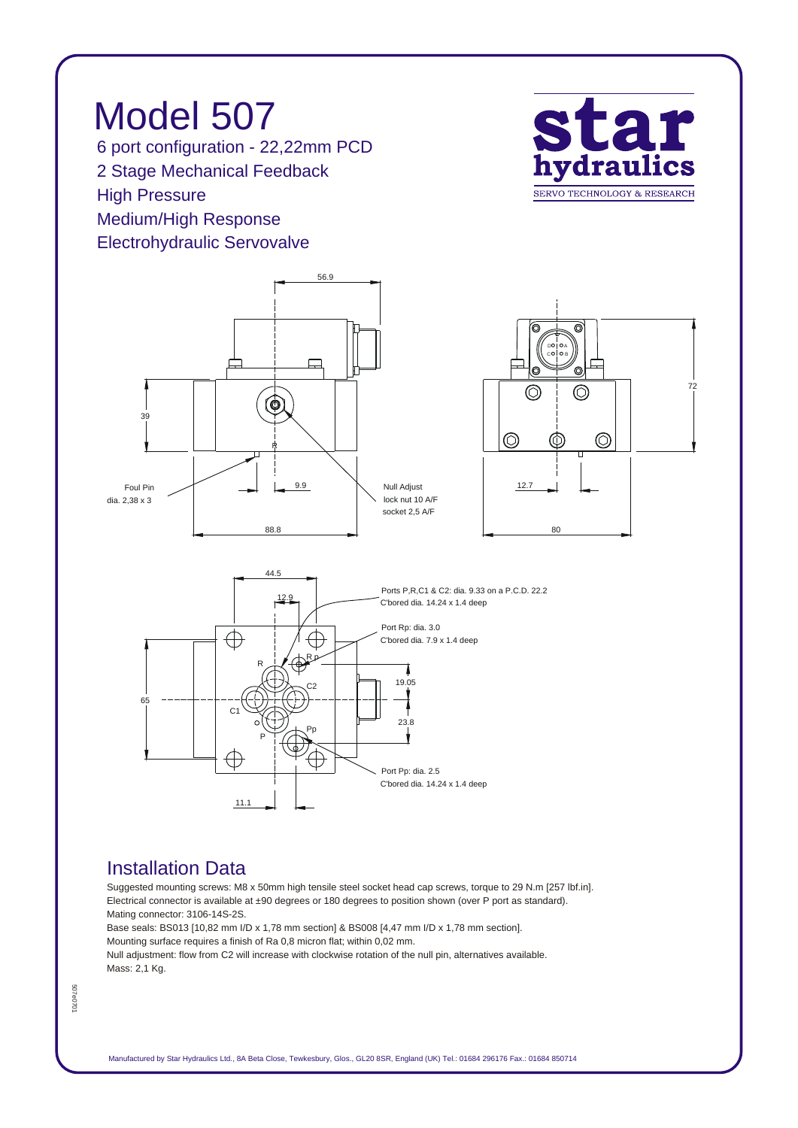*Model 507 6 port configuration - 22,22mm PCD 2 Stage Mechanical Feedback High Pressure Medium/High Response Electrohydraulic Servovalve*





## *Installation Data*

*Suggested mounting screws: M8 x 50mm high tensile steel socket head cap screws, torque to 29 N.m [257 lbf.in]. Electrical connector is available at ±90 degrees or 180 degrees to position shown (over P port as standard). Mating connector: 3106-14S-2S.*

*Base seals: BS013 [10,82 mm I/D x 1,78 mm section] & BS008 [4,47 mm I/D x 1,78 mm section]. Mounting surface requires a finish of Ra 0,8 micron flat; within 0,02 mm. Null adjustment: flow from C2 will increase with clockwise rotation of the null pin, alternatives available.*

*Mass: 2,1 Kg.*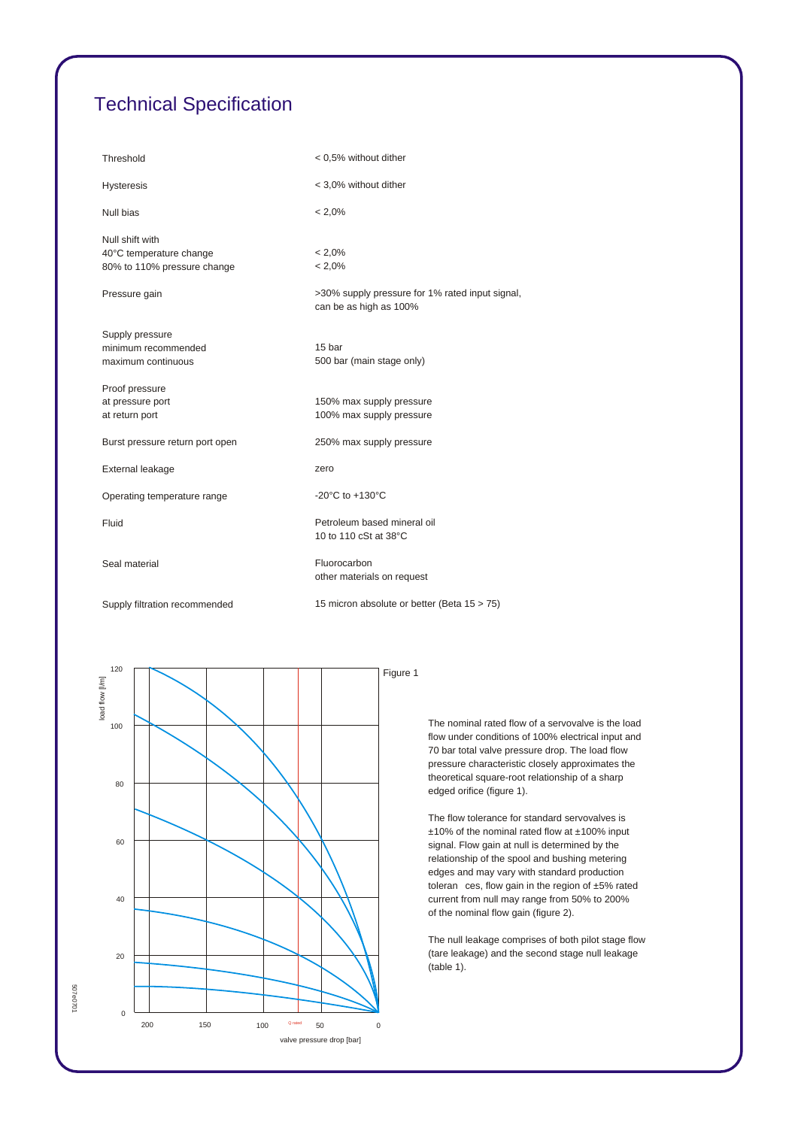## *Technical Specification*

| Threshold                                                                                  | < 0,5% without dither                                                                               |
|--------------------------------------------------------------------------------------------|-----------------------------------------------------------------------------------------------------|
| <b>Hysteresis</b>                                                                          | < 3,0% without dither                                                                               |
| Null bias                                                                                  | $< 2,0\%$                                                                                           |
| Null shift with<br>40°C temperature change<br>80% to 110% pressure change<br>Pressure gain | $< 2.0\%$<br>$< 2.0\%$<br>>30% supply pressure for 1% rated input signal,<br>can be as high as 100% |
| Supply pressure<br>minimum recommended<br>maximum continuous                               | 15 bar<br>500 bar (main stage only)                                                                 |
| Proof pressure<br>at pressure port<br>at return port                                       | 150% max supply pressure<br>100% max supply pressure                                                |
| Burst pressure return port open                                                            | 250% max supply pressure                                                                            |
| External leakage                                                                           | zero                                                                                                |
| Operating temperature range                                                                | -20 $^{\circ}$ C to +130 $^{\circ}$ C                                                               |
| Fluid                                                                                      | Petroleum based mineral oil<br>10 to 110 cSt at 38°C                                                |
| Seal material                                                                              | Fluorocarbon<br>other materials on request                                                          |
| Supply filtration recommended                                                              | 15 micron absolute or better (Beta 15 > 75)                                                         |



*The nominal rated flow of a servovalve is the load flow under conditions of 100% electrical input and 70 bar total valve pressure drop. The load flow pressure characteristic closely approximates the theoretical square-root relationship of a sharp edged orifice (figure 1).*

*The flow tolerance for standard servovalves is ±10% of the nominal rated flow at ±100% input signal. Flow gain at null is determined by the relationship of the spool and bushing metering edges and may vary with standard production toleran ces, flow gain in the region of ±5% rated current from null may range from 50% to 200% of the nominal flow gain (figure 2).*

*The null leakage comprises of both pilot stage flow (tare leakage) and the second stage null leakage (table 1).*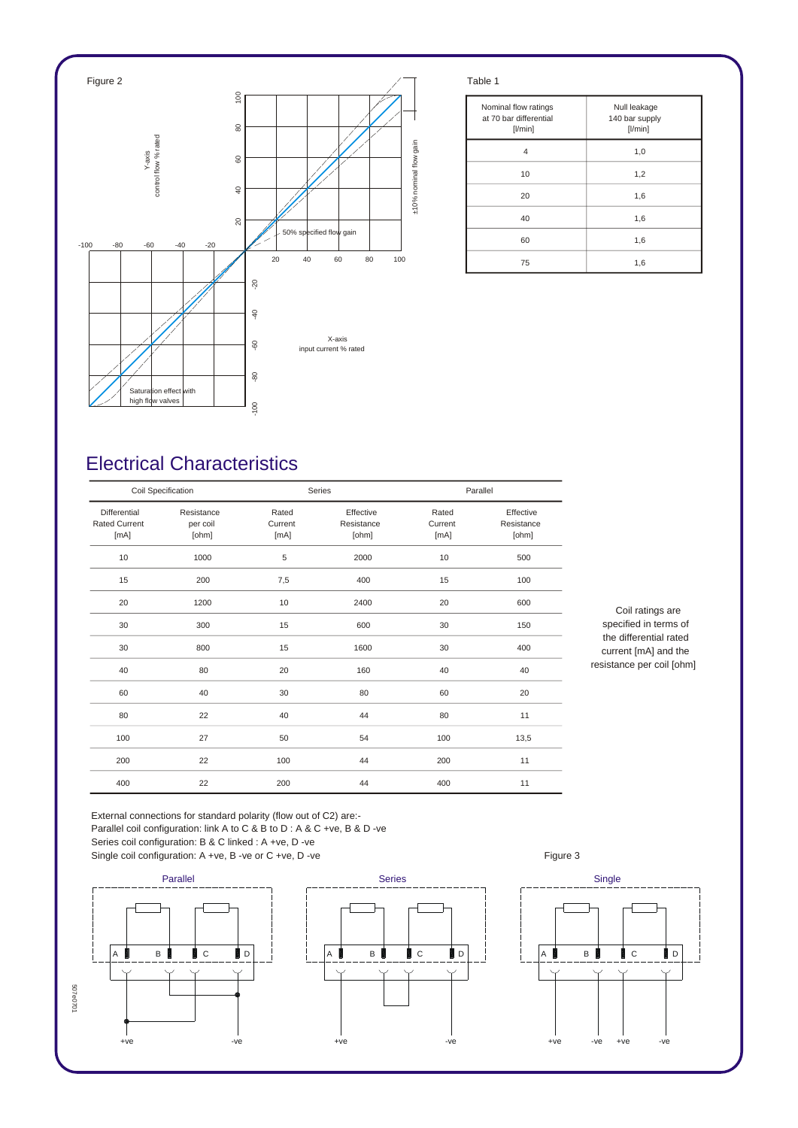

| Nominal flow ratings<br>at 70 bar differential<br>$[$ l/min $]$ | Null leakage<br>140 bar supply<br>[1/min] |
|-----------------------------------------------------------------|-------------------------------------------|
| 4                                                               | 1,0                                       |
| 10                                                              | 1,2                                       |
| 20                                                              | 1,6                                       |
| 40                                                              | 1,6                                       |
| 60                                                              | 1,6                                       |
| 75                                                              | 1,6                                       |

## *Electrical Characteristics*

| Coil Specification                           |                                 |                          | Series                           |                          | Parallel                         |  |
|----------------------------------------------|---------------------------------|--------------------------|----------------------------------|--------------------------|----------------------------------|--|
| Differential<br><b>Rated Current</b><br>[mA] | Resistance<br>per coil<br>[ohm] | Rated<br>Current<br>[mA] | Effective<br>Resistance<br>[ohm] | Rated<br>Current<br>[mA] | Effective<br>Resistance<br>[ohm] |  |
| 10                                           | 1000                            | 5                        | 2000                             | 10                       | 500                              |  |
| 15                                           | 200                             | 7,5                      | 400                              | 15                       | 100                              |  |
| 20                                           | 1200                            | 10                       | 2400                             | 20                       | 600                              |  |
| 30                                           | 300                             | 15                       | 600                              | 30                       | 150                              |  |
| 30                                           | 800                             | 15                       | 1600                             | 30                       | 400                              |  |
| 40                                           | 80                              | 20                       | 160                              | 40                       | 40                               |  |
| 60                                           | 40                              | 30                       | 80                               | 60                       | 20                               |  |
| 80                                           | 22                              | 40                       | 44                               | 80                       | 11                               |  |
| 100                                          | 27                              | 50                       | 54                               | 100                      | 13,5                             |  |
| 200                                          | 22                              | 100                      | 44                               | 200                      | 11                               |  |
| 400                                          | 22                              | 200                      | 44                               | 400                      | 11                               |  |

*Coil ratings are specified in terms of the differential rated current [mA] and the resistance per coil [ohm]*

*External connections for standard polarity (flow out of C2) are:- Parallel coil configuration: link A to C & B to D : A & C +ve, B & D -ve Series coil configuration: B & C linked : A +ve, D -ve*